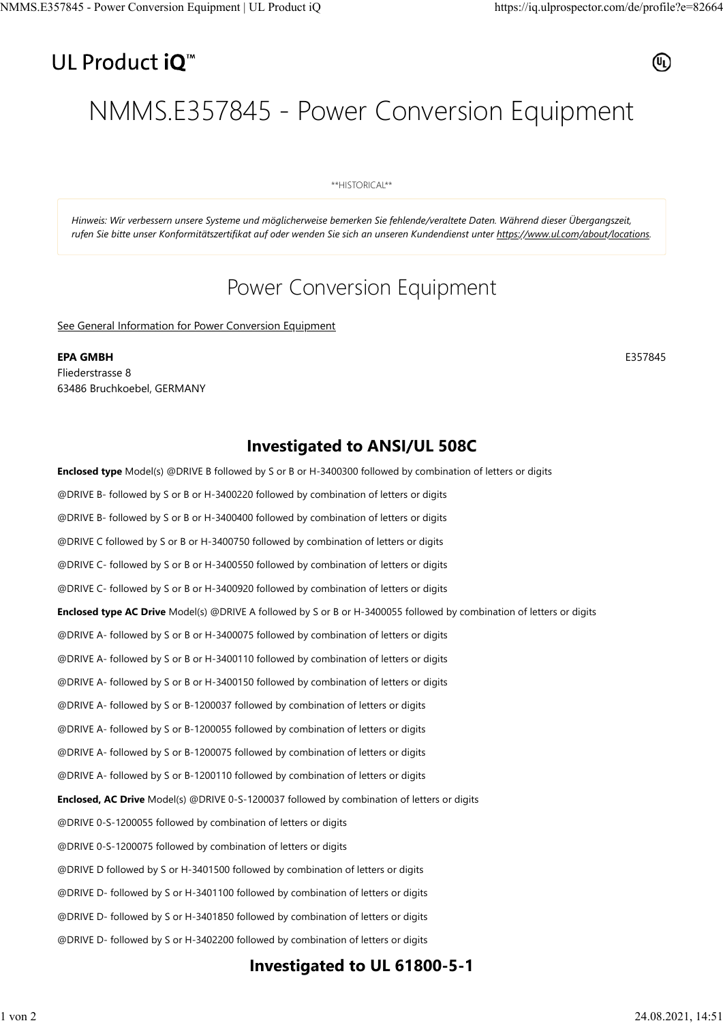# UL Product iQ<sup>™</sup>



# NMMS.E357845 - Power Conversion Equipment

\*\*HISTORICAL\*\*

*Hinweis: Wir verbessern unsere Systeme und möglicherweise bemerken Sie fehlende/veraltete Daten. Während dieser Übergangszeit, rufen Sie bitte unser Konformitätszertifikat auf oder wenden Sie sich an unseren Kundendienst unter https://www.ul.com/about/locations.*

## Power Conversion Equipment

See General Information for Power Conversion Equipment

#### **EPA GMBH** E357845

Fliederstrasse 8 63486 Bruchkoebel, GERMANY

### **Investigated to ANSI/UL 508C**

**Enclosed type** Model(s) @DRIVE B followed by S or B or H-3400300 followed by combination of letters or digits @DRIVE B- followed by S or B or H-3400220 followed by combination of letters or digits @DRIVE B- followed by S or B or H-3400400 followed by combination of letters or digits @DRIVE C followed by S or B or H-3400750 followed by combination of letters or digits @DRIVE C- followed by S or B or H-3400550 followed by combination of letters or digits @DRIVE C- followed by S or B or H-3400920 followed by combination of letters or digits **Enclosed type AC Drive** Model(s) @DRIVE A followed by S or B or H-3400055 followed by combination of letters or digits @DRIVE A- followed by S or B or H-3400075 followed by combination of letters or digits @DRIVE A- followed by S or B or H-3400110 followed by combination of letters or digits @DRIVE A- followed by S or B or H-3400150 followed by combination of letters or digits @DRIVE A- followed by S or B-1200037 followed by combination of letters or digits @DRIVE A- followed by S or B-1200055 followed by combination of letters or digits @DRIVE A- followed by S or B-1200075 followed by combination of letters or digits @DRIVE A- followed by S or B-1200110 followed by combination of letters or digits **Enclosed, AC Drive** Model(s) @DRIVE 0-S-1200037 followed by combination of letters or digits @DRIVE 0-S-1200055 followed by combination of letters or digits @DRIVE 0-S-1200075 followed by combination of letters or digits @DRIVE D followed by S or H-3401500 followed by combination of letters or digits @DRIVE D- followed by S or H-3401100 followed by combination of letters or digits @DRIVE D- followed by S or H-3401850 followed by combination of letters or digits @DRIVE D- followed by S or H-3402200 followed by combination of letters or digits

## **Investigated to UL 61800-5-1**